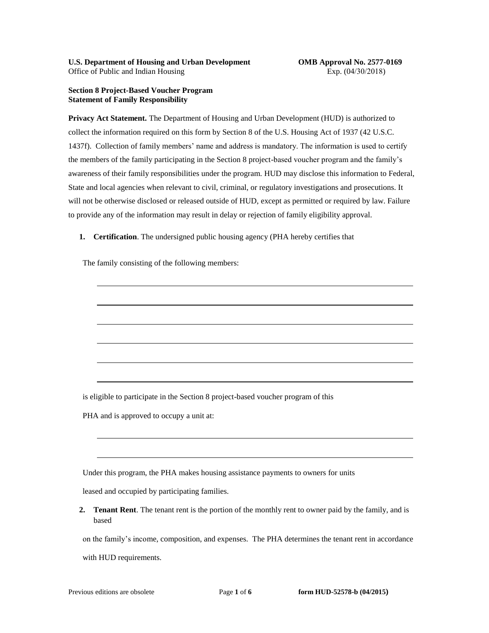## **Section 8 Project-Based Voucher Program Statement of Family Responsibility**

**Privacy Act Statement.** The Department of Housing and Urban Development (HUD) is authorized to collect the information required on this form by Section 8 of the U.S. Housing Act of 1937 (42 U.S.C. 1437f). Collection of family members' name and address is mandatory. The information is used to certify the members of the family participating in the Section 8 project-based voucher program and the family's awareness of their family responsibilities under the program. HUD may disclose this information to Federal, State and local agencies when relevant to civil, criminal, or regulatory investigations and prosecutions. It will not be otherwise disclosed or released outside of HUD, except as permitted or required by law. Failure to provide any of the information may result in delay or rejection of family eligibility approval.

**1. Certification**. The undersigned public housing agency (PHA hereby certifies that

The family consisting of the following members:

is eligible to participate in the Section 8 project-based voucher program of this

PHA and is approved to occupy a unit at:

Under this program, the PHA makes housing assistance payments to owners for units

leased and occupied by participating families.

**2. Tenant Rent**. The tenant rent is the portion of the monthly rent to owner paid by the family, and is based

on the family's income, composition, and expenses. The PHA determines the tenant rent in accordance

with HUD requirements.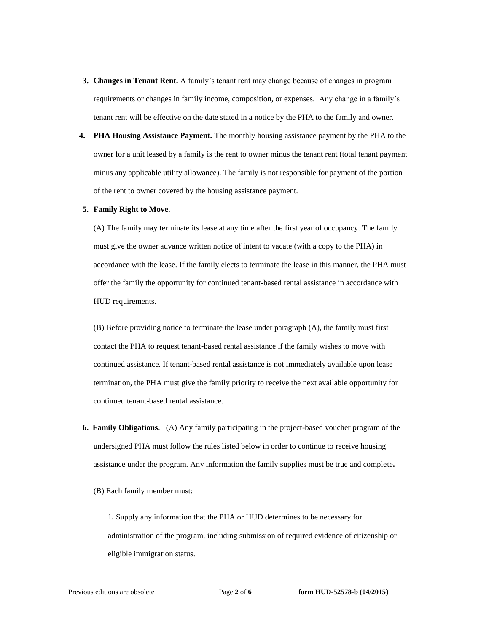- **3. Changes in Tenant Rent.** A family's tenant rent may change because of changes in program requirements or changes in family income, composition, or expenses. Any change in a family's tenant rent will be effective on the date stated in a notice by the PHA to the family and owner.
- **4. PHA Housing Assistance Payment.** The monthly housing assistance payment by the PHA to the owner for a unit leased by a family is the rent to owner minus the tenant rent (total tenant payment minus any applicable utility allowance). The family is not responsible for payment of the portion of the rent to owner covered by the housing assistance payment.

## **5. Family Right to Move**.

(A) The family may terminate its lease at any time after the first year of occupancy. The family must give the owner advance written notice of intent to vacate (with a copy to the PHA) in accordance with the lease. If the family elects to terminate the lease in this manner, the PHA must offer the family the opportunity for continued tenant-based rental assistance in accordance with HUD requirements.

(B) Before providing notice to terminate the lease under paragraph (A), the family must first contact the PHA to request tenant-based rental assistance if the family wishes to move with continued assistance. If tenant-based rental assistance is not immediately available upon lease termination, the PHA must give the family priority to receive the next available opportunity for continued tenant-based rental assistance.

- **6. Family Obligations.** (A) Any family participating in the project-based voucher program of the undersigned PHA must follow the rules listed below in order to continue to receive housing assistance under the program. Any information the family supplies must be true and complete**.**
	- (B) Each family member must:

1**.** Supply any information that the PHA or HUD determines to be necessary for administration of the program, including submission of required evidence of citizenship or eligible immigration status.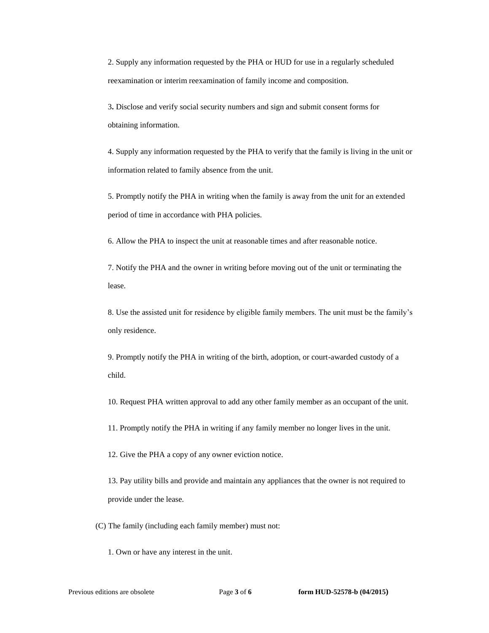2. Supply any information requested by the PHA or HUD for use in a regularly scheduled reexamination or interim reexamination of family income and composition.

3**.** Disclose and verify social security numbers and sign and submit consent forms for obtaining information.

4. Supply any information requested by the PHA to verify that the family is living in the unit or information related to family absence from the unit.

5. Promptly notify the PHA in writing when the family is away from the unit for an extended period of time in accordance with PHA policies.

6. Allow the PHA to inspect the unit at reasonable times and after reasonable notice.

7. Notify the PHA and the owner in writing before moving out of the unit or terminating the lease.

8. Use the assisted unit for residence by eligible family members. The unit must be the family's only residence.

9. Promptly notify the PHA in writing of the birth, adoption, or court-awarded custody of a child.

10. Request PHA written approval to add any other family member as an occupant of the unit.

11. Promptly notify the PHA in writing if any family member no longer lives in the unit.

12. Give the PHA a copy of any owner eviction notice.

13. Pay utility bills and provide and maintain any appliances that the owner is not required to provide under the lease.

(C) The family (including each family member) must not:

1. Own or have any interest in the unit.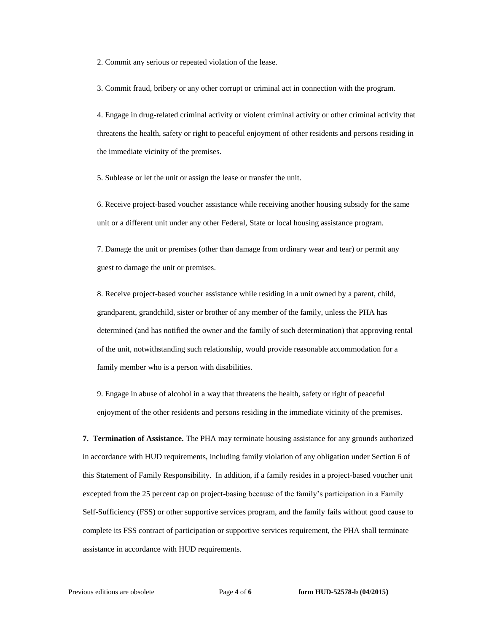2. Commit any serious or repeated violation of the lease.

3. Commit fraud, bribery or any other corrupt or criminal act in connection with the program.

4. Engage in drug-related criminal activity or violent criminal activity or other criminal activity that threatens the health, safety or right to peaceful enjoyment of other residents and persons residing in the immediate vicinity of the premises.

5. Sublease or let the unit or assign the lease or transfer the unit.

6. Receive project-based voucher assistance while receiving another housing subsidy for the same unit or a different unit under any other Federal, State or local housing assistance program.

7. Damage the unit or premises (other than damage from ordinary wear and tear) or permit any guest to damage the unit or premises.

8. Receive project-based voucher assistance while residing in a unit owned by a parent, child, grandparent, grandchild, sister or brother of any member of the family, unless the PHA has determined (and has notified the owner and the family of such determination) that approving rental of the unit, notwithstanding such relationship, would provide reasonable accommodation for a family member who is a person with disabilities.

9. Engage in abuse of alcohol in a way that threatens the health, safety or right of peaceful enjoyment of the other residents and persons residing in the immediate vicinity of the premises.

**7. Termination of Assistance.** The PHA may terminate housing assistance for any grounds authorized in accordance with HUD requirements, including family violation of any obligation under Section 6 of this Statement of Family Responsibility. In addition, if a family resides in a project-based voucher unit excepted from the 25 percent cap on project-basing because of the family's participation in a Family Self-Sufficiency (FSS) or other supportive services program, and the family fails without good cause to complete its FSS contract of participation or supportive services requirement, the PHA shall terminate assistance in accordance with HUD requirements.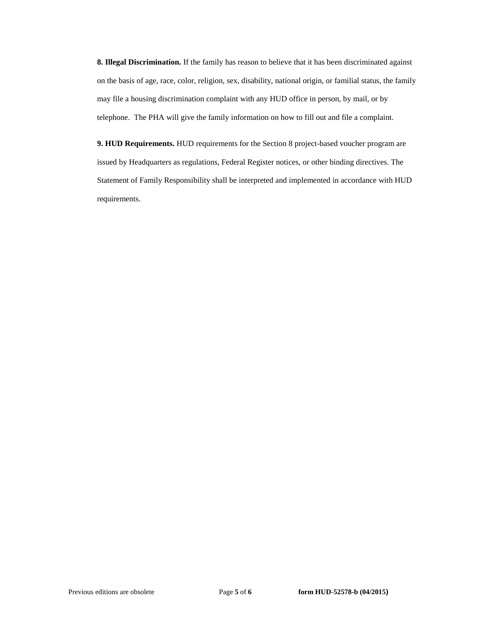**8. Illegal Discrimination.** If the family has reason to believe that it has been discriminated against on the basis of age, race, color, religion, sex, disability, national origin, or familial status, the family may file a housing discrimination complaint with any HUD office in person, by mail, or by telephone. The PHA will give the family information on how to fill out and file a complaint.

**9. HUD Requirements.** HUD requirements for the Section 8 project-based voucher program are issued by Headquarters as regulations, Federal Register notices, or other binding directives. The Statement of Family Responsibility shall be interpreted and implemented in accordance with HUD requirements.